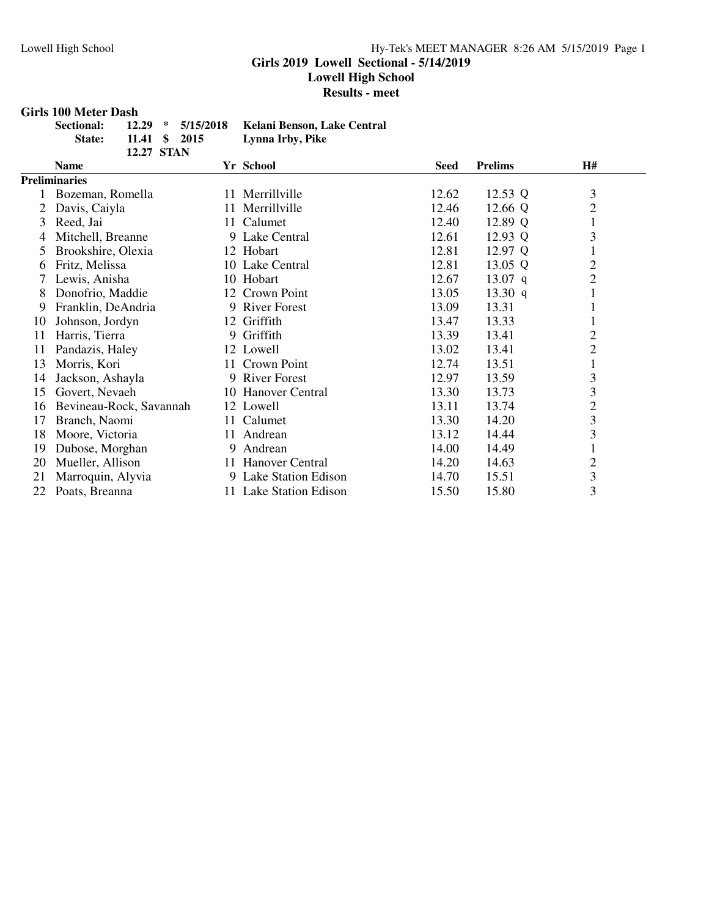#### **Girls 2019 Lowell Sectional - 5/14/2019**

**Lowell High School**

**Results - meet**

#### **Girls 100 Meter Dash**

| Sectional:    |                   | 12.29 * 5/15/2018 Kelani Benson, Lake Central |
|---------------|-------------------|-----------------------------------------------|
| <b>State:</b> | 11.41 \$ 2015     | Lynna Irby, Pike                              |
|               | <b>12.27 STAN</b> |                                               |

|    | <b>Name</b>             |     | Yr School              | <b>Seed</b> | <b>Prelims</b> | H#             |
|----|-------------------------|-----|------------------------|-------------|----------------|----------------|
|    | <b>Preliminaries</b>    |     |                        |             |                |                |
|    | Bozeman, Romella        |     | 11 Merrillville        | 12.62       | 12.53 Q        | 3              |
| 2  | Davis, Caiyla           |     | 11 Merrillville        | 12.46       | 12.66 Q        | $\overline{c}$ |
| 3  | Reed, Jai               |     | 11 Calumet             | 12.40       | 12.89 Q        |                |
| 4  | Mitchell, Breanne       |     | 9 Lake Central         | 12.61       | 12.93 Q        | 3              |
| 5  | Brookshire, Olexia      |     | 12 Hobart              | 12.81       | 12.97 Q        |                |
| 6  | Fritz, Melissa          |     | 10 Lake Central        | 12.81       | 13.05 Q        | $\overline{c}$ |
|    | Lewis, Anisha           |     | 10 Hobart              | 12.67       | $13.07$ q      | $\overline{c}$ |
| 8  | Donofrio, Maddie        |     | 12 Crown Point         | 13.05       | 13.30 $q$      | $\mathbf{I}$   |
| 9  | Franklin, DeAndria      |     | 9 River Forest         | 13.09       | 13.31          |                |
| 10 | Johnson, Jordyn         |     | 12 Griffith            | 13.47       | 13.33          | 1              |
| 11 | Harris, Tierra          |     | 9 Griffith             | 13.39       | 13.41          | $\overline{c}$ |
| 11 | Pandazis, Haley         |     | 12 Lowell              | 13.02       | 13.41          | $\overline{c}$ |
| 13 | Morris, Kori            |     | 11 Crown Point         | 12.74       | 13.51          |                |
| 14 | Jackson, Ashayla        |     | 9 River Forest         | 12.97       | 13.59          | $\mathfrak{Z}$ |
| 15 | Govert, Nevaeh          |     | 10 Hanover Central     | 13.30       | 13.73          | 3              |
| 16 | Bevineau-Rock, Savannah |     | 12 Lowell              | 13.11       | 13.74          | $\overline{c}$ |
| 17 | Branch, Naomi           |     | 11 Calumet             | 13.30       | 14.20          | 3              |
| 18 | Moore, Victoria         | 11. | Andrean                | 13.12       | 14.44          | 3              |
| 19 | Dubose, Morghan         |     | 9 Andrean              | 14.00       | 14.49          | 1              |
| 20 | Mueller, Allison        |     | 11 Hanover Central     | 14.20       | 14.63          | $\overline{c}$ |
| 21 | Marroquin, Alyvia       |     | 9 Lake Station Edison  | 14.70       | 15.51          | 3              |
| 22 | Poats, Breanna          |     | 11 Lake Station Edison | 15.50       | 15.80          | $\mathfrak{Z}$ |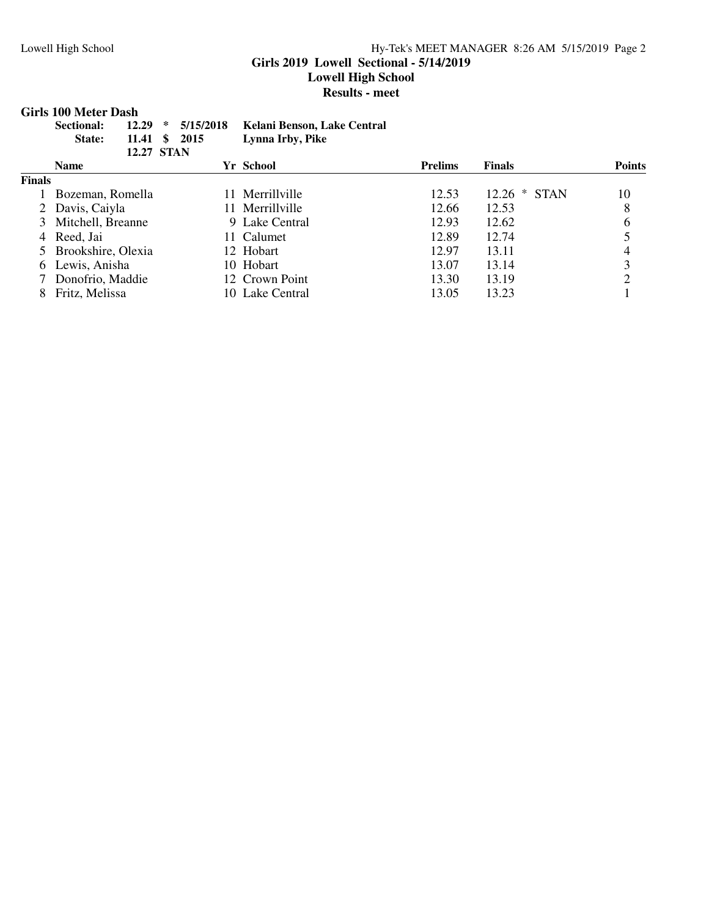#### Lowell High School Hy-Tek's MEET MANAGER 8:26 AM 5/15/2019 Page 2 **Girls 2019 Lowell Sectional - 5/14/2019**

**Lowell High School**

**Results - meet**

#### **Girls 100 Meter Dash**

|        | 12.29<br>Sectional:<br>11.41<br>State: | 5/15/2018<br>∗<br>-SS<br>2015<br><b>12.27 STAN</b> | Kelani Benson, Lake Central<br>Lynna Irby, Pike |                |                |               |
|--------|----------------------------------------|----------------------------------------------------|-------------------------------------------------|----------------|----------------|---------------|
|        | <b>Name</b>                            |                                                    | Yr School                                       | <b>Prelims</b> | <b>Finals</b>  | <b>Points</b> |
| Finals |                                        |                                                    |                                                 |                |                |               |
|        | Bozeman, Romella                       |                                                    | 11 Merrillville                                 | 12.53          | $12.26 * STAN$ | 10            |
|        | 2 Davis, Caiyla                        |                                                    | 11 Merrillville                                 | 12.66          | 12.53          | 8             |
|        | 3 Mitchell, Breanne                    |                                                    | 9 Lake Central                                  | 12.93          | 12.62          | 6             |
| 4      | Reed, Jai                              |                                                    | 11 Calumet                                      | 12.89          | 12.74          |               |
|        | Brookshire, Olexia                     |                                                    | 12 Hobart                                       | 12.97          | 13.11          | 4             |
| 6      | Lewis, Anisha                          |                                                    | 10 Hobart                                       | 13.07          | 13.14          | 3             |
|        | Donofrio, Maddie                       |                                                    | 12 Crown Point                                  | 13.30          | 13.19          | ↑             |
| 8      | Fritz, Melissa                         |                                                    | 10 Lake Central                                 | 13.05          | 13.23          |               |
|        |                                        |                                                    |                                                 |                |                |               |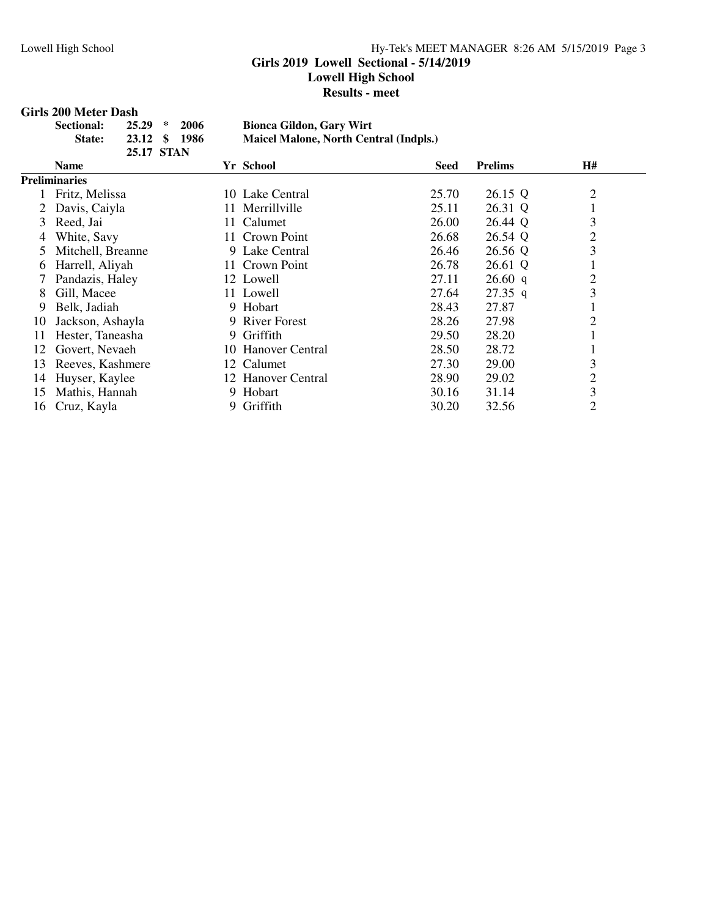#### **Girls 2019 Lowell Sectional - 5/14/2019**

**Lowell High School**

**Results - meet**

#### **Girls 200 Meter Dash**

| Sectional:    | $25.29 * 2006$ | <b>Bionca Gildon, Gary Wirt</b>        |
|---------------|----------------|----------------------------------------|
| <b>State:</b> | 23.12 \$ 1986  | Maicel Malone, North Central (Indpls.) |
|               | 25.17 STAN     |                                        |

|    | <b>Name</b>       | Yr School          | Seed  | <b>Prelims</b> | H#             |
|----|-------------------|--------------------|-------|----------------|----------------|
|    | Preliminaries     |                    |       |                |                |
|    | Fritz, Melissa    | 10 Lake Central    | 25.70 | 26.15 Q        | $\overline{2}$ |
|    | Davis, Caiyla     | 11 Merrillville    | 25.11 | 26.31 Q        |                |
| 3  | Reed, Jai         | 11 Calumet         | 26.00 | 26.44 Q        | 3              |
| 4  | White, Savy       | 11 Crown Point     | 26.68 | 26.54 Q        | $\overline{2}$ |
| 5  | Mitchell, Breanne | 9 Lake Central     | 26.46 | 26.56 Q        | 3              |
| 6  | Harrell, Aliyah   | 11 Crown Point     | 26.78 | 26.61 Q        |                |
|    | Pandazis, Haley   | 12 Lowell          | 27.11 | 26.60 q        | 2              |
| 8  | Gill, Macee       | 11 Lowell          | 27.64 | $27.35$ q      | 3              |
| 9  | Belk, Jadiah      | 9 Hobart           | 28.43 | 27.87          |                |
| 10 | Jackson, Ashayla  | 9 River Forest     | 28.26 | 27.98          | $\overline{2}$ |
| 11 | Hester, Taneasha  | 9 Griffith         | 29.50 | 28.20          |                |
| 12 | Govert, Nevaeh    | 10 Hanover Central | 28.50 | 28.72          |                |
| 13 | Reeves, Kashmere  | 12 Calumet         | 27.30 | 29.00          | 3              |
| 14 | Huyser, Kaylee    | 12 Hanover Central | 28.90 | 29.02          | $\overline{2}$ |
| 15 | Mathis, Hannah    | 9 Hobart           | 30.16 | 31.14          | 3              |
| 16 | Cruz, Kayla       | Griffith           | 30.20 | 32.56          | $\overline{2}$ |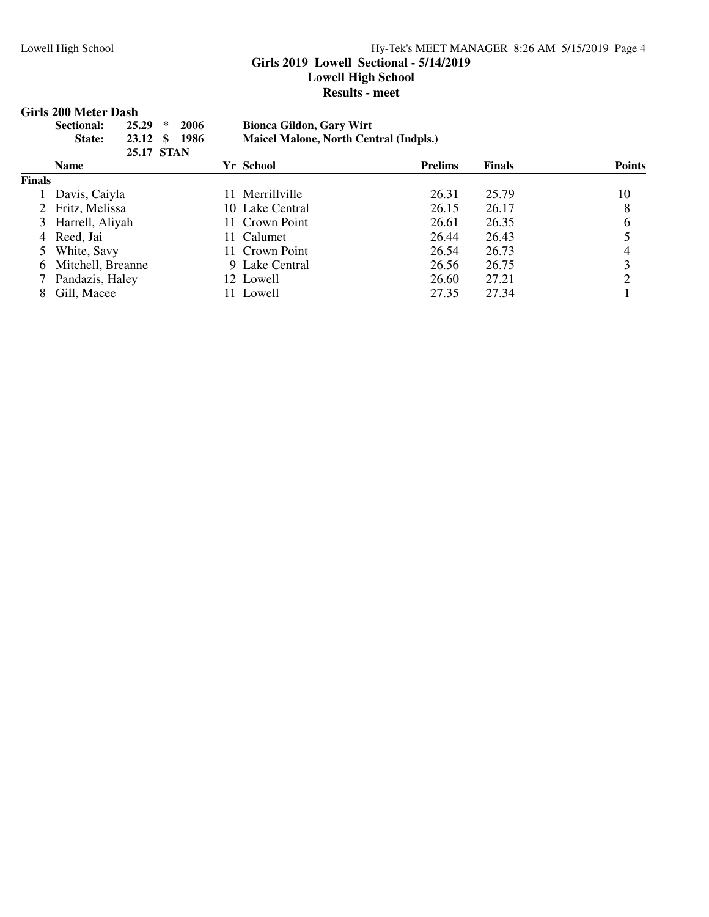#### Lowell High School Hy-Tek's MEET MANAGER 8:26 AM 5/15/2019 Page 4 **Girls 2019 Lowell Sectional - 5/14/2019 Lowell High School Results - meet**

# **Girls 200 Meter Dash<br>Sectional:** 25.29 \* 2006

#### **Sectional: 25.29 \* 2006 Bionca Gildon, Gary Wirt State: 23.12 \$ 1986 Maicel Malone, North Central (Indpls.)**

|        | <b>25.17 STAN</b>   |                 |                |        |               |
|--------|---------------------|-----------------|----------------|--------|---------------|
|        | <b>Name</b>         | Yr School       | <b>Prelims</b> | Finals | <b>Points</b> |
| Finals |                     |                 |                |        |               |
|        | Davis, Caiyla       | 11 Merrillyille | 26.31          | 25.79  | 10            |
|        | 2 Fritz, Melissa    | 10 Lake Central | 26.15          | 26.17  | 8             |
|        | 3 Harrell, Aliyah   | 11 Crown Point  | 26.61          | 26.35  | 6             |
|        | 4 Reed, Jai         | 11 Calumet      | 26.44          | 26.43  |               |
|        | 5 White, Savy       | 11 Crown Point  | 26.54          | 26.73  | 4             |
|        | 6 Mitchell, Breanne | 9 Lake Central  | 26.56          | 26.75  |               |
|        | Pandazis, Haley     | 12 Lowell       | 26.60          | 27.21  | 2             |
| 8      | Gill, Macee         | 11 Lowell       | 27.35          | 27.34  |               |
|        |                     |                 |                |        |               |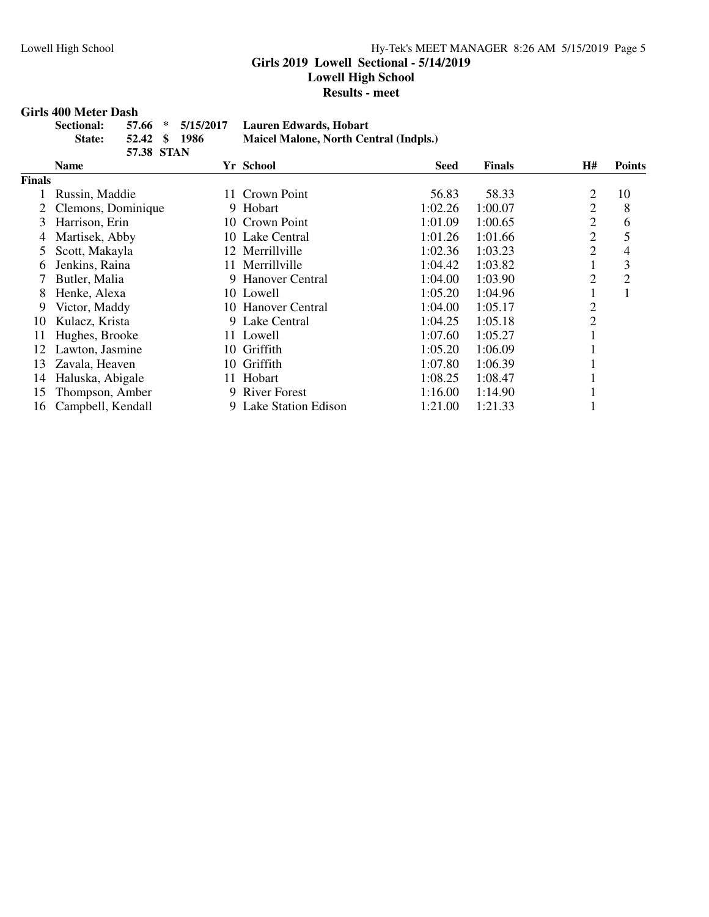#### **Girls 2019 Lowell Sectional - 5/14/2019**

**Lowell High School**

**Results - meet**

#### **Girls 400 Meter Dash**

| Sectional:    |               | 57.66 * 5/15/2017 Lauren Edwards, Hobart |
|---------------|---------------|------------------------------------------|
| <b>State:</b> | 52.42 \$ 1986 | Maicel Malone, North Central (Indpls.)   |
|               | 57.38 STAN    |                                          |

|        | <b>Name</b>        |     | Yr School             | Seed    | <b>Finals</b> | H#             | <b>Points</b> |
|--------|--------------------|-----|-----------------------|---------|---------------|----------------|---------------|
| Finals |                    |     |                       |         |               |                |               |
|        | Russin, Maddie     |     | 11 Crown Point        | 56.83   | 58.33         | 2              | 10            |
|        | Clemons, Dominique |     | 9 Hobart              | 1:02.26 | 1:00.07       | 2              | 8             |
| 3      | Harrison, Erin     |     | 10 Crown Point        | 1:01.09 | 1:00.65       | 2              | 6             |
| 4      | Martisek, Abby     |     | 10 Lake Central       | 1:01.26 | 1:01.66       | $\overline{2}$ | 5             |
| 5      | Scott, Makayla     |     | 12 Merrillville       | 1:02.36 | 1:03.23       | 2              | 4             |
| 6      | Jenkins, Raina     |     | 11 Merrillville       | 1:04.42 | 1:03.82       |                | 3             |
|        | Butler, Malia      |     | 9 Hanover Central     | 1:04.00 | 1:03.90       | 2              | 2             |
| 8      | Henke, Alexa       |     | 10 Lowell             | 1:05.20 | 1:04.96       |                |               |
| 9      | Victor, Maddy      |     | 10 Hanover Central    | 1:04.00 | 1:05.17       | 2              |               |
| 10     | Kulacz, Krista     |     | 9 Lake Central        | 1:04.25 | 1:05.18       | 2              |               |
| 11     | Hughes, Brooke     |     | 11 Lowell             | 1:07.60 | 1:05.27       |                |               |
| 12     | Lawton, Jasmine    | 10  | Griffith              | 1:05.20 | 1:06.09       |                |               |
| 13     | Zavala, Heaven     | 10. | Griffith              | 1:07.80 | 1:06.39       |                |               |
| 14     | Haluska, Abigale   | 11. | Hobart                | 1:08.25 | 1:08.47       |                |               |
| 15     | Thompson, Amber    |     | 9 River Forest        | 1:16.00 | 1:14.90       |                |               |
| 16     | Campbell, Kendall  |     | 9 Lake Station Edison | 1:21.00 | 1:21.33       |                |               |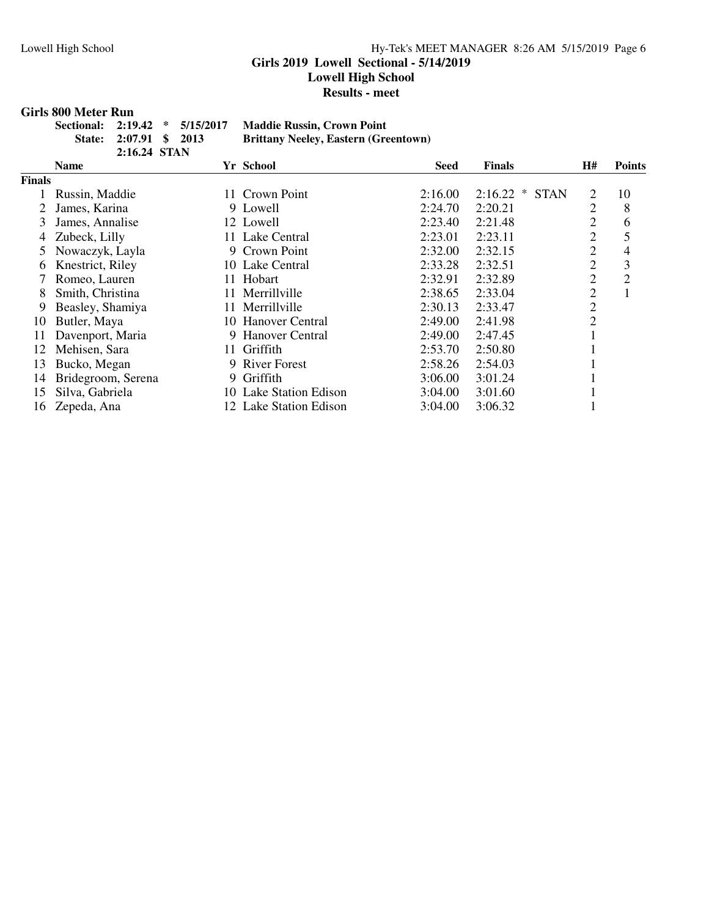#### Lowell High School Hy-Tek's MEET MANAGER 8:26 AM 5/15/2019 Page 6 **Girls 2019 Lowell Sectional - 5/14/2019 Lowell High School Results - meet**

#### **Girls 800 Meter Run**

| Sectional: 2:19.42 * 5/15/2017 |                        |  | <b>Maddie Russin, Crown Point</b>           |
|--------------------------------|------------------------|--|---------------------------------------------|
|                                | State: 2:07.91 \$ 2013 |  | <b>Brittany Neeley, Eastern (Greentown)</b> |
|                                | 2:16.24 STAN           |  |                                             |

|               | Name               |    | Yr School              | <b>Seed</b> | <b>Finals</b>                    | H#             | <b>Points</b>  |
|---------------|--------------------|----|------------------------|-------------|----------------------------------|----------------|----------------|
| <b>Finals</b> |                    |    |                        |             |                                  |                |                |
|               | Russin, Maddie     |    | 11 Crown Point         | 2:16.00     | 2:16.22<br>$\ast$<br><b>STAN</b> | 2              | 10             |
| 2             | James, Karina      |    | 9 Lowell               | 2:24.70     | 2:20.21                          | $\overline{2}$ | 8              |
| 3             | James, Annalise    |    | 12 Lowell              | 2:23.40     | 2:21.48                          | $\overline{2}$ | 6              |
| 4             | Zubeck, Lilly      |    | 11 Lake Central        | 2:23.01     | 2:23.11                          | $\overline{2}$ | 5              |
| 5             | Nowaczyk, Layla    |    | 9 Crown Point          | 2:32.00     | 2:32.15                          | $\overline{2}$ | 4              |
| 6             | Knestrict, Riley   |    | 10 Lake Central        | 2:33.28     | 2:32.51                          | $\overline{2}$ | 3              |
|               | Romeo, Lauren      |    | 11 Hobart              | 2:32.91     | 2:32.89                          | $\overline{2}$ | $\overline{2}$ |
| 8             | Smith, Christina   |    | 11 Merrillville        | 2:38.65     | 2:33.04                          | $\overline{2}$ |                |
| 9             | Beasley, Shamiya   |    | 11 Merrillville        | 2:30.13     | 2:33.47                          | $\overline{2}$ |                |
| 10            | Butler, Maya       |    | 10 Hanover Central     | 2:49.00     | 2:41.98                          | $\overline{2}$ |                |
| 11            | Davenport, Maria   |    | 9 Hanover Central      | 2:49.00     | 2:47.45                          |                |                |
| 12            | Mehisen, Sara      | 11 | Griffith               | 2:53.70     | 2:50.80                          |                |                |
| 13            | Bucko, Megan       |    | 9 River Forest         | 2:58.26     | 2:54.03                          |                |                |
| 14            | Bridegroom, Serena |    | 9 Griffith             | 3:06.00     | 3:01.24                          |                |                |
| 15            | Silva, Gabriela    |    | 10 Lake Station Edison | 3:04.00     | 3:01.60                          |                |                |
| 16            | Zepeda, Ana        |    | 12 Lake Station Edison | 3:04.00     | 3:06.32                          |                |                |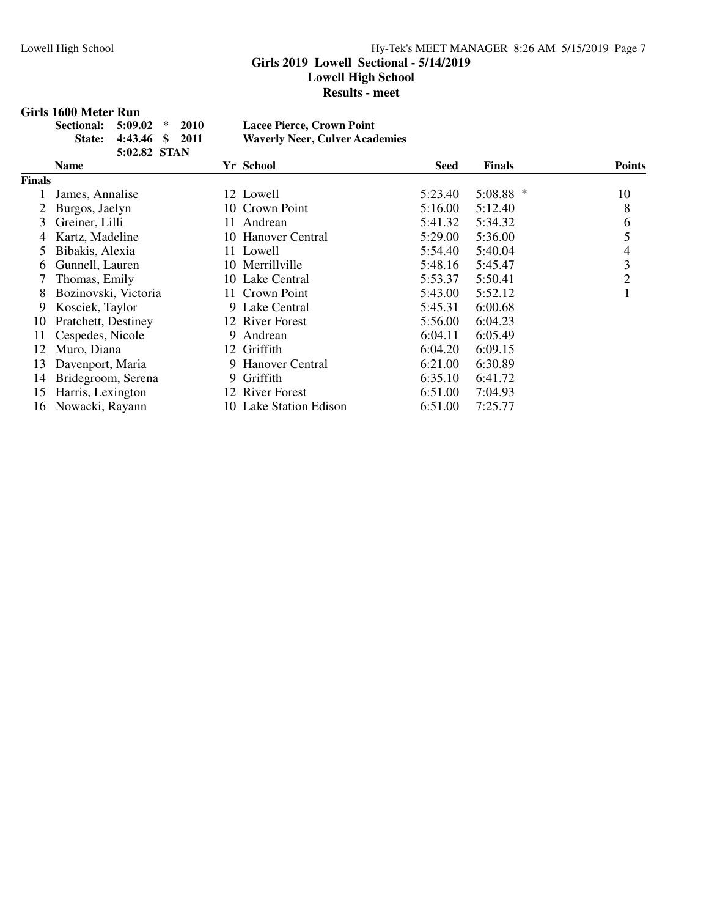#### **Girls 2019 Lowell Sectional - 5/14/2019**

**Lowell High School**

**Results - meet**

#### **Girls 1600 Meter Run**

| Sectional: 5:09.02 * 2010 |                        |  | <b>Lacee Pierce, Crown Point</b>      |
|---------------------------|------------------------|--|---------------------------------------|
|                           | State: 4:43.46 \$ 2011 |  | <b>Waverly Neer, Culver Academies</b> |
|                           | 5:02.82 STAN           |  |                                       |

|        | .                    |    |                        |             |               |               |
|--------|----------------------|----|------------------------|-------------|---------------|---------------|
|        | <b>Name</b>          |    | Yr School              | <b>Seed</b> | <b>Finals</b> | <b>Points</b> |
| Finals |                      |    |                        |             |               |               |
|        | James, Annalise      |    | 12 Lowell              | 5:23.40     | 5:08.88 *     | 10            |
|        | Burgos, Jaelyn       |    | 10 Crown Point         | 5:16.00     | 5:12.40       | 8             |
| 3      | Greiner, Lilli       |    | 11 Andrean             | 5:41.32     | 5:34.32       | 6             |
| 4      | Kartz, Madeline      |    | 10 Hanover Central     | 5:29.00     | 5:36.00       | 5             |
| 5      | Bibakis, Alexia      |    | 11 Lowell              | 5:54.40     | 5:40.04       | 4             |
| 6      | Gunnell, Lauren      |    | 10 Merrillville        | 5:48.16     | 5:45.47       | 3             |
|        | Thomas, Emily        |    | 10 Lake Central        | 5:53.37     | 5:50.41       | 2             |
| 8      | Bozinovski, Victoria |    | 11 Crown Point         | 5:43.00     | 5:52.12       |               |
| 9      | Kosciek, Taylor      |    | 9 Lake Central         | 5:45.31     | 6:00.68       |               |
| 10     | Pratchett, Destiney  |    | 12 River Forest        | 5:56.00     | 6:04.23       |               |
| 11     | Cespedes, Nicole     | 9. | Andrean                | 6:04.11     | 6:05.49       |               |
| 12     | Muro, Diana          | 12 | Griffith               | 6:04.20     | 6:09.15       |               |
| 13     | Davenport, Maria     |    | 9 Hanover Central      | 6:21.00     | 6:30.89       |               |
| 14     | Bridegroom, Serena   |    | 9 Griffith             | 6:35.10     | 6:41.72       |               |
| 15     | Harris, Lexington    |    | 12 River Forest        | 6:51.00     | 7:04.93       |               |
| 16     | Nowacki, Rayann      |    | 10 Lake Station Edison | 6:51.00     | 7:25.77       |               |
|        |                      |    |                        |             |               |               |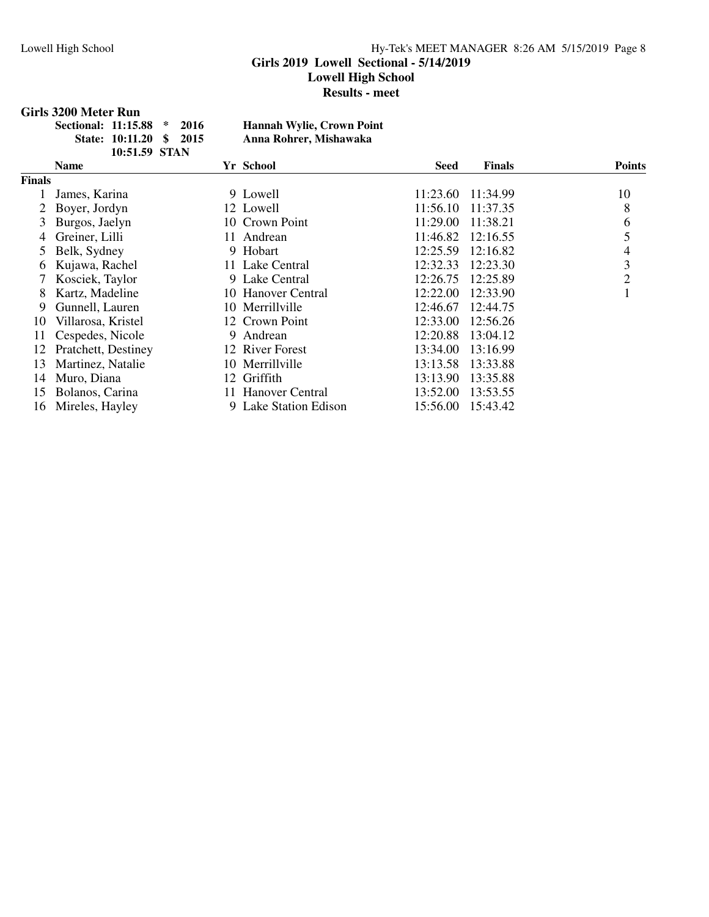### **Girls 2019 Lowell Sectional - 5/14/2019**

**Lowell High School**

**Results - meet**

#### **Girls 3200 Meter Run**

| Sectional: 11:15.88 * 2016 |                         |  | <b>Hannah Wylie, Crown Point</b> |
|----------------------------|-------------------------|--|----------------------------------|
|                            | State: 10:11.20 \$ 2015 |  | Anna Rohrer, Mishawaka           |
|                            | $10.5159$ STAN          |  |                                  |

|        | .                   |   |                       |             |               |               |
|--------|---------------------|---|-----------------------|-------------|---------------|---------------|
|        | <b>Name</b>         |   | Yr School             | <b>Seed</b> | <b>Finals</b> | <b>Points</b> |
| Finals |                     |   |                       |             |               |               |
|        | James, Karina       |   | 9 Lowell              | 11:23.60    | 11:34.99      | 10            |
|        | Boyer, Jordyn       |   | 12 Lowell             | 11:56.10    | 11:37.35      | 8             |
| 3      | Burgos, Jaelyn      |   | 10 Crown Point        | 11:29.00    | 11:38.21      | 6             |
| 4      | Greiner, Lilli      |   | 11 Andrean            | 11:46.82    | 12:16.55      | 5             |
| 5      | Belk, Sydney        |   | 9 Hobart              | 12:25.59    | 12:16.82      | 4             |
| 6      | Kujawa, Rachel      |   | 11 Lake Central       | 12:32.33    | 12:23.30      | 3             |
|        | Kosciek, Taylor     |   | 9 Lake Central        | 12:26.75    | 12:25.89      | 2             |
| 8      | Kartz, Madeline     |   | 10 Hanover Central    | 12:22.00    | 12:33.90      |               |
| 9      | Gunnell, Lauren     |   | 10 Merrillville       | 12:46.67    | 12:44.75      |               |
| 10     | Villarosa, Kristel  |   | 12 Crown Point        | 12:33.00    | 12:56.26      |               |
| 11     | Cespedes, Nicole    | 9 | Andrean               | 12:20.88    | 13:04.12      |               |
| 12     | Pratchett, Destiney |   | 12 River Forest       | 13:34.00    | 13:16.99      |               |
| 13     | Martinez, Natalie   |   | 10 Merrillville       | 13:13.58    | 13:33.88      |               |
| 14     | Muro, Diana         |   | 12 Griffith           | 13:13.90    | 13:35.88      |               |
| 15     | Bolanos, Carina     |   | 11 Hanover Central    | 13:52.00    | 13:53.55      |               |
| 16     | Mireles, Hayley     |   | 9 Lake Station Edison | 15:56.00    | 15:43.42      |               |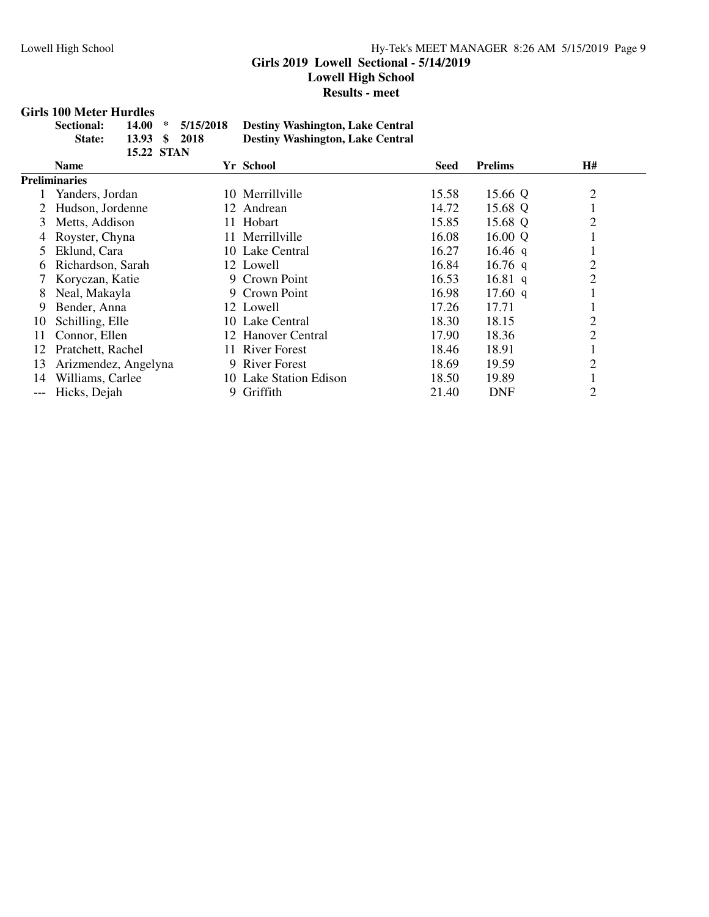#### Lowell High School Hy-Tek's MEET MANAGER 8:26 AM 5/15/2019 Page 9 **Girls 2019 Lowell Sectional - 5/14/2019 Lowell High School Results - meet**

#### **Girls 100 Meter Hurdles**

| Sectional:    |            | $14.00 * 5/15/2018$ | <b>Destiny Washington, Lake Central</b> |
|---------------|------------|---------------------|-----------------------------------------|
| <b>State:</b> |            | 13.93 \$ 2018       | <b>Destiny Washington, Lake Central</b> |
|               | 15.22 STAN |                     |                                         |

|       | <b>Name</b>          | Yr School                | Seed  | <b>Prelims</b> | H#             |  |
|-------|----------------------|--------------------------|-------|----------------|----------------|--|
|       | <b>Preliminaries</b> |                          |       |                |                |  |
|       | Yanders, Jordan      | 10 Merrillville          | 15.58 | 15.66 Q        | $\overline{2}$ |  |
|       | Hudson, Jordenne     | 12 Andrean               | 14.72 | 15.68 Q        |                |  |
| 3     | Metts, Addison       | 11 Hobart                | 15.85 | 15.68 Q        | $\overline{2}$ |  |
|       | Royster, Chyna       | Merrillville<br>11-      | 16.08 | 16.00 Q        |                |  |
| 5.    | Eklund, Cara         | 10 Lake Central          | 16.27 | 16.46 q        |                |  |
| 6     | Richardson, Sarah    | 12 Lowell                | 16.84 | 16.76 $q$      | $\overline{2}$ |  |
|       | Koryczan, Katie      | 9 Crown Point            | 16.53 | 16.81 $q$      | $\overline{2}$ |  |
| 8     | Neal, Makayla        | 9 Crown Point            | 16.98 | 17.60 $q$      |                |  |
| 9     | Bender, Anna         | 12 Lowell                | 17.26 | 17.71          |                |  |
| 10    | Schilling, Elle      | 10 Lake Central          | 18.30 | 18.15          | $\overline{2}$ |  |
| 11    | Connor, Ellen        | 12 Hanover Central       | 17.90 | 18.36          | $\overline{2}$ |  |
| 12    | Pratchett, Rachel    | 11 River Forest          | 18.46 | 18.91          |                |  |
| 13    | Arizmendez, Angelyna | <b>River Forest</b><br>9 | 18.69 | 19.59          | 2              |  |
| 14    | Williams, Carlee     | 10 Lake Station Edison   | 18.50 | 19.89          |                |  |
| $---$ | Hicks, Dejah         | Griffith<br>9.           | 21.40 | <b>DNF</b>     | 2              |  |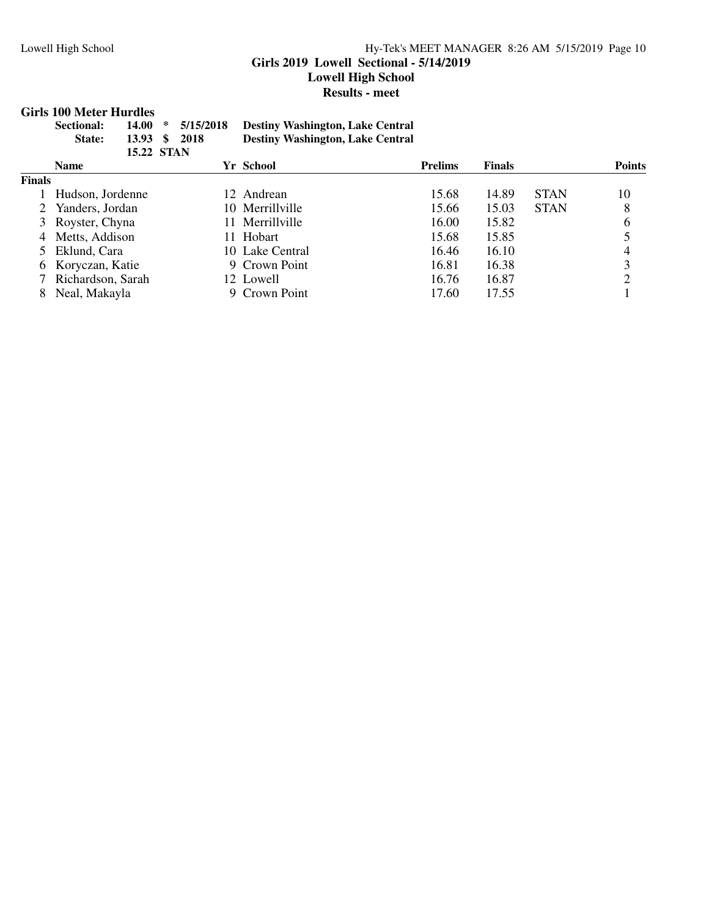#### Lowell High School Hy-Tek's MEET MANAGER 8:26 AM 5/15/2019 Page 10 **Girls 2019 Lowell Sectional - 5/14/2019 Lowell High School Results - meet**

#### **Girls 100 Meter Hurdles**

|               | waa waa wadha wadha wadh                      |                    |                   |                                                                                    |                |               |             |               |
|---------------|-----------------------------------------------|--------------------|-------------------|------------------------------------------------------------------------------------|----------------|---------------|-------------|---------------|
|               | 14.00<br><b>Sectional:</b><br>13.93<br>State: | ∗<br><sup>\$</sup> | 5/15/2018<br>2018 | <b>Destiny Washington, Lake Central</b><br><b>Destiny Washington, Lake Central</b> |                |               |             |               |
|               |                                               |                    | <b>15.22 STAN</b> |                                                                                    |                |               |             |               |
|               | <b>Name</b>                                   |                    |                   | Yr School                                                                          | <b>Prelims</b> | <b>Finals</b> |             | <b>Points</b> |
| <b>Finals</b> |                                               |                    |                   |                                                                                    |                |               |             |               |
|               | Hudson, Jordenne                              |                    |                   | 12 Andrean                                                                         | 15.68          | 14.89         | <b>STAN</b> | 10            |
|               | Yanders, Jordan                               |                    |                   | 10 Merrillyille                                                                    | 15.66          | 15.03         | <b>STAN</b> | 8             |
|               | Royster, Chyna                                |                    | $\vert 1 \vert$   | Merrillville                                                                       | 16.00          | 15.82         |             | 6             |
| 4             | Metts, Addison                                |                    |                   | 11 Hobart                                                                          | 15.68          | 15.85         |             |               |
|               | Eklund, Cara                                  |                    |                   | 10 Lake Central                                                                    | 16.46          | 16.10         |             | 4             |
| 6             | Koryczan, Katie                               |                    |                   | 9 Crown Point                                                                      | 16.81          | 16.38         |             | 3             |
|               | Richardson, Sarah                             |                    |                   | 12 Lowell                                                                          | 16.76          | 16.87         |             | 2             |
| 8             | Neal, Makayla                                 |                    |                   | 9 Crown Point                                                                      | 17.60          | 17.55         |             |               |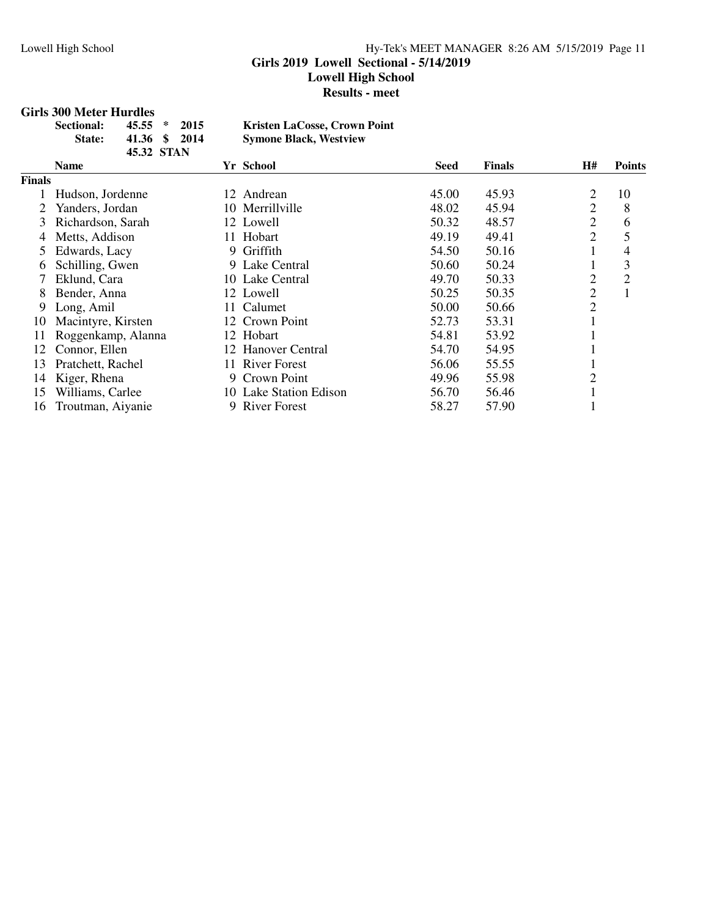#### Lowell High School Hy-Tek's MEET MANAGER 8:26 AM 5/15/2019 Page 11 **Girls 2019 Lowell Sectional - 5/14/2019 Lowell High School Results - meet**

#### **Girls 300 Meter Hurdles**

| <b>Sectional:</b> | $45.55 * 2015$ | <b>Kristen LaCosse, Crown Point</b> |
|-------------------|----------------|-------------------------------------|
| State:            | 41.36 \$ 2014  | <b>Symone Black, Westview</b>       |
|                   | 45.32 STAN     |                                     |

|        | <b>Name</b>        | Yr School              | Seed  | <b>Finals</b> | Н#             | <b>Points</b> |
|--------|--------------------|------------------------|-------|---------------|----------------|---------------|
| Finals |                    |                        |       |               |                |               |
|        | Hudson, Jordenne   | 12 Andrean             | 45.00 | 45.93         | 2              | 10            |
|        | Yanders, Jordan    | 10 Merrillville        | 48.02 | 45.94         | 2              | 8             |
| 3      | Richardson, Sarah  | 12 Lowell              | 50.32 | 48.57         | $\overline{2}$ | 6             |
| 4      | Metts, Addison     | 11 Hobart              | 49.19 | 49.41         | 2              |               |
|        | Edwards, Lacy      | 9 Griffith             | 54.50 | 50.16         |                | 4             |
| 6      | Schilling, Gwen    | 9 Lake Central         | 50.60 | 50.24         |                | 3             |
|        | Eklund, Cara       | 10 Lake Central        | 49.70 | 50.33         | 2              | 2             |
| 8      | Bender, Anna       | 12 Lowell              | 50.25 | 50.35         | $\overline{2}$ |               |
| 9      | Long, Amil         | Calumet<br>11-         | 50.00 | 50.66         | $\overline{2}$ |               |
| 10     | Macintyre, Kirsten | 12 Crown Point         | 52.73 | 53.31         |                |               |
| 11     | Roggenkamp, Alanna | 12 Hobart              | 54.81 | 53.92         |                |               |
| 12     | Connor, Ellen      | 12 Hanover Central     | 54.70 | 54.95         |                |               |
| 13     | Pratchett, Rachel  | 11 River Forest        | 56.06 | 55.55         |                |               |
| 14     | Kiger, Rhena       | 9 Crown Point          | 49.96 | 55.98         | 2              |               |
| 15     | Williams, Carlee   | 10 Lake Station Edison | 56.70 | 56.46         |                |               |
| 16     | Troutman, Aiyanie  | 9 River Forest         | 58.27 | 57.90         |                |               |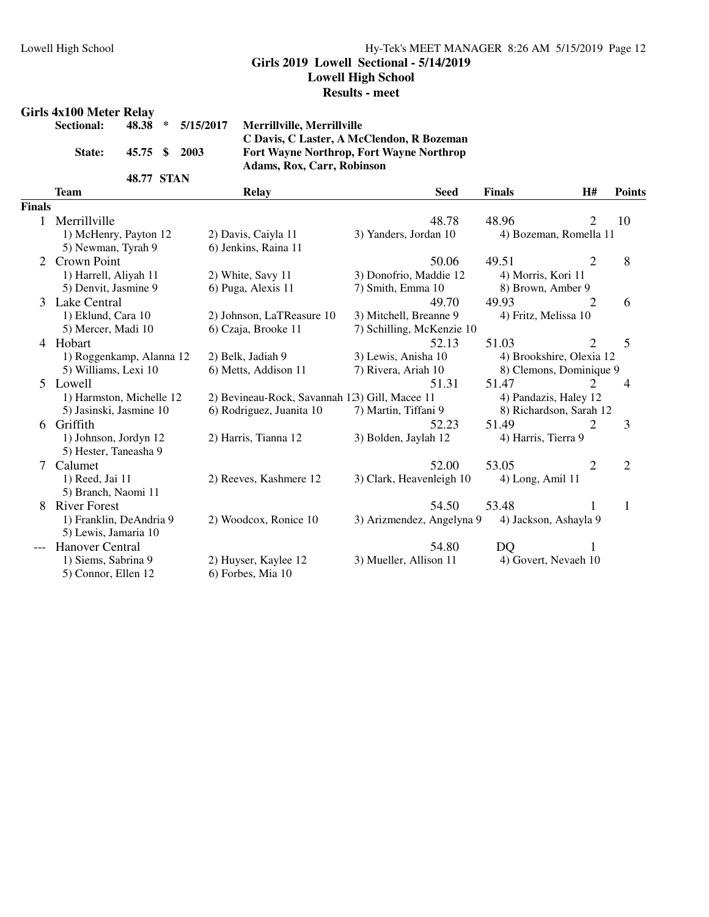#### **Girls 2019 Lowell Sectional - 5/14/2019**

**Lowell High School**

#### **Results - meet**

#### **Girls 4x100 Meter Relay**

|                      | Sectional: 48.38 * 5/15/2017 Mer |                |
|----------------------|----------------------------------|----------------|
|                      |                                  | C <sub>D</sub> |
| State: 45.75 \$ 2003 |                                  | For            |
|                      |                                  | Ada            |
| 48.77 STAN           |                                  |                |

**Sectional: 48.38 \* 5/15/2017 Merrillville, Merrillville C Davis, C Laster, A McClendon, R Bozeman State: 45.75 \$ 2003 Fort Wayne Northrop, Fort Wayne Northrop Adams, Rox, Carr, Robinson**

|                | <b>Team</b>                                    | <b>Relay</b>                                  | <b>Seed</b>               | <b>Finals</b>            | H#             | <b>Points</b>  |
|----------------|------------------------------------------------|-----------------------------------------------|---------------------------|--------------------------|----------------|----------------|
| <b>Finals</b>  |                                                |                                               |                           |                          |                |                |
| $\mathbf{1}$   | Merrillville                                   |                                               | 48.78                     | 48.96                    | $\overline{2}$ | 10             |
|                | 1) McHenry, Payton 12                          | 2) Davis, Caiyla 11                           | 3) Yanders, Jordan 10     | 4) Bozeman, Romella 11   |                |                |
|                | 5) Newman, Tyrah 9                             | 6) Jenkins, Raina 11                          |                           |                          |                |                |
| $\overline{2}$ | <b>Crown Point</b>                             |                                               | 50.06                     | 49.51                    | 2              | 8              |
|                | 1) Harrell, Aliyah 11                          | 2) White, Savy 11                             | 3) Donofrio, Maddie 12    | 4) Morris, Kori 11       |                |                |
|                | 5) Denvit, Jasmine 9                           | 6) Puga, Alexis 11                            | 7) Smith, Emma 10         | 8) Brown, Amber 9        |                |                |
| 3              | Lake Central                                   |                                               | 49.70                     | 49.93                    | $\overline{2}$ | 6              |
|                | 1) Eklund, Cara 10                             | 2) Johnson, LaTReasure 10                     | 3) Mitchell, Breanne 9    | 4) Fritz, Melissa 10     |                |                |
|                | 5) Mercer, Madi 10                             | 6) Czaja, Brooke 11                           | 7) Schilling, McKenzie 10 |                          |                |                |
| 4              | Hobart                                         |                                               | 52.13                     | 51.03                    | 2              | 5              |
|                | 1) Roggenkamp, Alanna 12                       | 2) Belk, Jadiah 9                             | 3) Lewis, Anisha 10       | 4) Brookshire, Olexia 12 |                |                |
|                | 5) Williams, Lexi 10                           | 6) Metts, Addison 11                          | 7) Rivera, Ariah 10       | 8) Clemons, Dominique 9  |                |                |
|                | 5 Lowell                                       |                                               | 51.31                     | 51.47                    | 2              | $\overline{4}$ |
|                | 1) Harmston, Michelle 12                       | 2) Bevineau-Rock, Savannah 13) Gill, Macee 11 |                           | 4) Pandazis, Haley 12    |                |                |
|                | 5) Jasinski, Jasmine 10                        | 6) Rodriguez, Juanita 10                      | 7) Martin, Tiffani 9      | 8) Richardson, Sarah 12  |                |                |
| 6              | Griffith                                       |                                               | 52.23                     | 51.49                    | $\overline{2}$ | 3              |
|                | 1) Johnson, Jordyn 12<br>5) Hester, Taneasha 9 | 2) Harris, Tianna 12                          | 3) Bolden, Jaylah 12      | 4) Harris, Tierra 9      |                |                |
| 7              | Calumet                                        |                                               | 52.00                     | 53.05                    | $\overline{2}$ | $\overline{2}$ |
|                | 1) Reed, Jai 11<br>5) Branch, Naomi 11         | 2) Reeves, Kashmere 12                        | 3) Clark, Heavenleigh 10  | 4) Long, Amil 11         |                |                |
| 8              | <b>River Forest</b>                            |                                               | 54.50                     | 53.48                    |                | 1              |
|                | 1) Franklin, DeAndria 9                        | 2) Woodcox, Ronice 10                         | 3) Arizmendez, Angelyna 9 | 4) Jackson, Ashayla 9    |                |                |
|                | 5) Lewis, Jamaria 10                           |                                               |                           |                          |                |                |
|                | Hanover Central                                |                                               | 54.80                     | DQ                       | 1              |                |
|                | 1) Siems, Sabrina 9                            | 2) Huyser, Kaylee 12                          | 3) Mueller, Allison 11    | 4) Govert, Nevaeh 10     |                |                |
|                | 5) Connor, Ellen 12                            | 6) Forbes, Mia 10                             |                           |                          |                |                |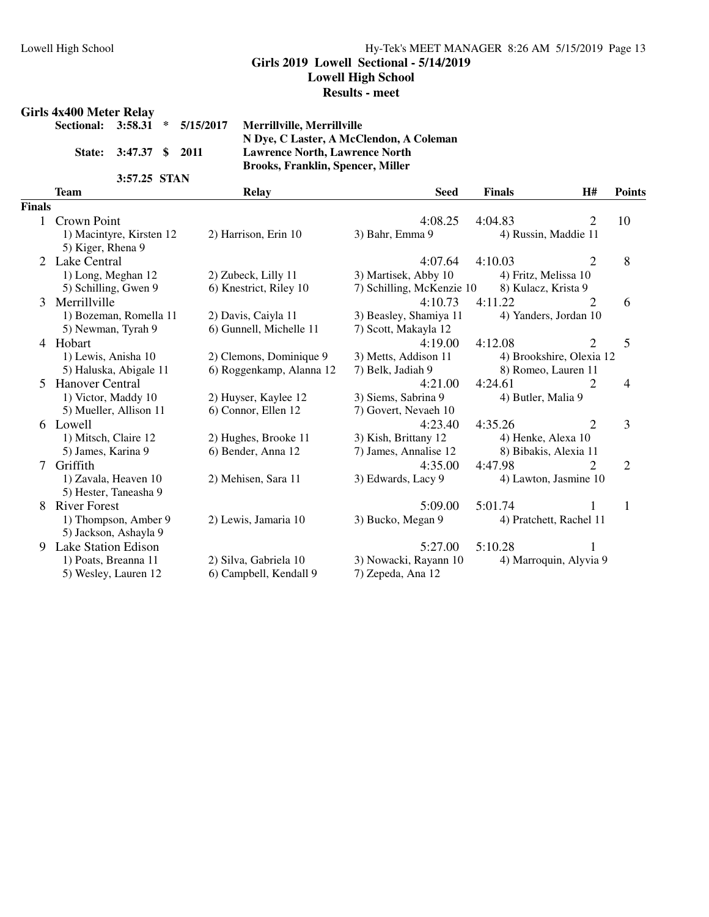**Girls 2019 Lowell Sectional - 5/14/2019**

**Lowell High School**

#### **Results - meet**

#### **Girls 4x400 Meter Relay**

|                        | Sectional: 3:58.31 * 5/15/2017 | N |
|------------------------|--------------------------------|---|
|                        |                                |   |
| State: 3:47.37 \$ 2011 |                                | L |
|                        |                                | B |
| 3:57.25 STAN           |                                |   |

**Sectional: 3:58.31 \* 5/15/2017 Merrillville, Merrillville N Dye, C Laster, A McClendon, A Coleman State: 3:47.37 \$ 2011 Lawrence North, Lawrence North Brooks, Franklin, Spencer, Miller**

|               | <b>Team</b>                | <b>Relay</b>             | <b>Seed</b>               | <b>Finals</b>         | H#                       | <b>Points</b>  |
|---------------|----------------------------|--------------------------|---------------------------|-----------------------|--------------------------|----------------|
| <b>Finals</b> |                            |                          |                           |                       |                          |                |
|               | Crown Point                |                          | 4:08.25                   | 4:04.83               | 2                        | 10             |
|               | 1) Macintyre, Kirsten 12   | 2) Harrison, Erin 10     | 3) Bahr, Emma 9           | 4) Russin, Maddie 11  |                          |                |
|               | 5) Kiger, Rhena 9          |                          |                           |                       |                          |                |
| 2             | Lake Central               |                          | 4:07.64                   | 4:10.03               | $\overline{c}$           | 8              |
|               | 1) Long, Meghan 12         | 2) Zubeck, Lilly 11      | 3) Martisek, Abby 10      | 4) Fritz, Melissa 10  |                          |                |
|               | 5) Schilling, Gwen 9       | 6) Knestrict, Riley 10   | 7) Schilling, McKenzie 10 | 8) Kulacz, Krista 9   |                          |                |
| 3             | Merrillville               |                          | 4:10.73                   | 4:11.22               | 2                        | 6              |
|               | 1) Bozeman, Romella 11     | 2) Davis, Caiyla 11      | 3) Beasley, Shamiya 11    | 4) Yanders, Jordan 10 |                          |                |
|               | 5) Newman, Tyrah 9         | 6) Gunnell, Michelle 11  | 7) Scott, Makayla 12      |                       |                          |                |
| 4             | Hobart                     |                          | 4:19.00                   | 4:12.08               | $\overline{2}$           | 5              |
|               | 1) Lewis, Anisha 10        | 2) Clemons, Dominique 9  | 3) Metts, Addison 11      |                       | 4) Brookshire, Olexia 12 |                |
|               | 5) Haluska, Abigale 11     | 6) Roggenkamp, Alanna 12 | 7) Belk, Jadiah 9         | 8) Romeo, Lauren 11   |                          |                |
| 5             | <b>Hanover Central</b>     |                          | 4:21.00                   | 4:24.61               | 2                        | 4              |
|               | 1) Victor, Maddy 10        | 2) Huyser, Kaylee 12     | 3) Siems, Sabrina 9       | 4) Butler, Malia 9    |                          |                |
|               | 5) Mueller, Allison 11     | 6) Connor, Ellen 12      | 7) Govert, Nevaeh 10      |                       |                          |                |
|               | 6 Lowell                   |                          | 4:23.40                   | 4:35.26               | 2                        | 3              |
|               | 1) Mitsch, Claire 12       | 2) Hughes, Brooke 11     | 3) Kish, Brittany 12      | 4) Henke, Alexa 10    |                          |                |
|               | 5) James, Karina 9         | 6) Bender, Anna 12       | 7) James, Annalise 12     | 8) Bibakis, Alexia 11 |                          |                |
|               | Griffith                   |                          | 4:35.00                   | 4:47.98               | 2                        | $\overline{2}$ |
|               | 1) Zavala, Heaven 10       | 2) Mehisen, Sara 11      | 3) Edwards, Lacy 9        |                       | 4) Lawton, Jasmine 10    |                |
|               | 5) Hester, Taneasha 9      |                          |                           |                       |                          |                |
| 8             | <b>River Forest</b>        |                          | 5:09.00                   | 5:01.74               |                          | 1              |
|               | 1) Thompson, Amber 9       | 2) Lewis, Jamaria 10     | 3) Bucko, Megan 9         |                       | 4) Pratchett, Rachel 11  |                |
|               | 5) Jackson, Ashayla 9      |                          |                           |                       |                          |                |
| 9             | <b>Lake Station Edison</b> |                          | 5:27.00                   | 5:10.28               |                          |                |
|               | 1) Poats, Breanna 11       | 2) Silva, Gabriela 10    | 3) Nowacki, Rayann 10     |                       | 4) Marroquin, Alyvia 9   |                |
|               | 5) Wesley, Lauren 12       | 6) Campbell, Kendall 9   | 7) Zepeda, Ana 12         |                       |                          |                |
|               |                            |                          |                           |                       |                          |                |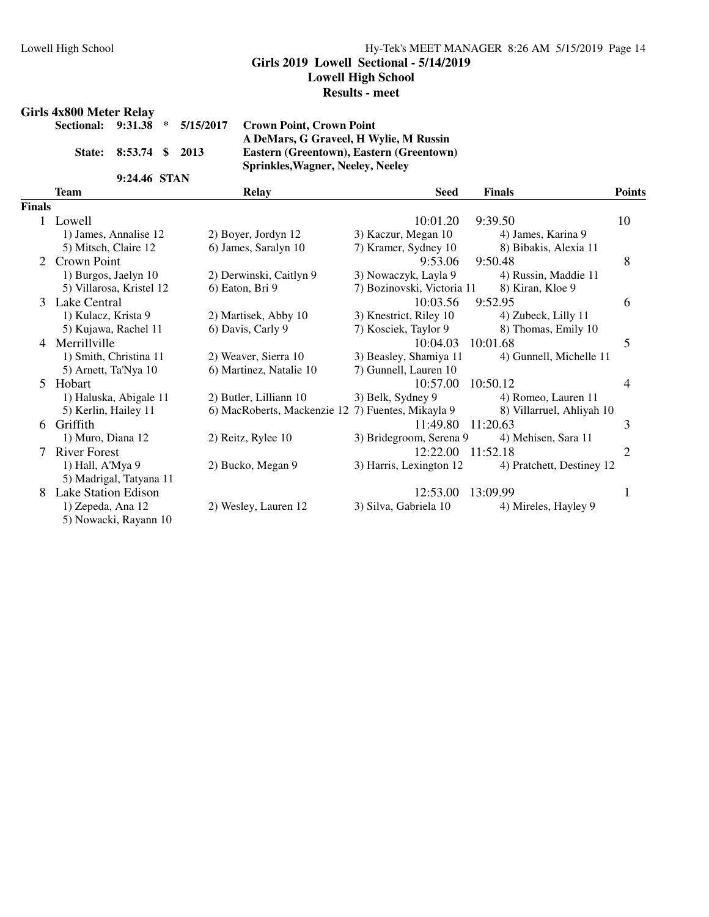#### **Girls 2019 Lowell Sectional - 5/14/2019**

**Lowell High School**

#### **Results - meet**

#### **Girls 4x800 Meter Relay**

|                        | Sectional: 9:31.38 * 5/15/2017 Crown |               |
|------------------------|--------------------------------------|---------------|
|                        |                                      | A DeN         |
| State: 8:53.74 \$ 2013 |                                      | Easter        |
|                        |                                      | <b>Sprinl</b> |
| 9:24.46 STAN           |                                      |               |

**Sectional: 9:31.38 \* 5/15/2017 Crown Point, Crown Point A DeMars, G Graveel, H Wylie, M Russin State: 8:53.74 \$ 2013 Eastern (Greentown), Eastern (Greentown) Sprinkles,Wagner, Neeley, Neeley**

|               | <b>Team</b>                                | <b>Relay</b>                                      | <b>Seed</b>                | <b>Finals</b>             | <b>Points</b> |
|---------------|--------------------------------------------|---------------------------------------------------|----------------------------|---------------------------|---------------|
| <b>Finals</b> |                                            |                                                   |                            |                           |               |
|               | 1 Lowell                                   |                                                   | 10:01.20                   | 9:39.50                   | 10            |
|               | 1) James, Annalise 12                      | 2) Boyer, Jordyn 12                               | 3) Kaczur, Megan 10        | 4) James, Karina 9        |               |
|               | 5) Mitsch, Claire 12                       | 6) James, Saralyn 10                              | 7) Kramer, Sydney 10       | 8) Bibakis, Alexia 11     |               |
| 2             | Crown Point                                |                                                   | 9:53.06                    | 9:50.48                   | 8             |
|               | 1) Burgos, Jaelyn 10                       | 2) Derwinski, Caitlyn 9                           | 3) Nowaczyk, Layla 9       | 4) Russin, Maddie 11      |               |
|               | 5) Villarosa, Kristel 12                   | 6) Eaton, Bri 9                                   | 7) Bozinovski, Victoria 11 | 8) Kiran, Kloe 9          |               |
| 3             | Lake Central                               |                                                   | 10:03.56                   | 9:52.95                   | 6             |
|               | 1) Kulacz, Krista 9                        | 2) Martisek, Abby 10                              | 3) Knestrict, Riley 10     | 4) Zubeck, Lilly 11       |               |
|               | 5) Kujawa, Rachel 11                       | 6) Davis, Carly 9                                 | 7) Kosciek, Taylor 9       | 8) Thomas, Emily 10       |               |
| 4             | Merrillville                               |                                                   | 10:04.03                   | 10:01.68                  | 5             |
|               | 1) Smith, Christina 11                     | 2) Weaver, Sierra 10                              | 3) Beasley, Shamiya 11     | 4) Gunnell, Michelle 11   |               |
|               | 5) Arnett, Ta'Nya 10                       | 6) Martinez, Natalie 10                           | 7) Gunnell, Lauren 10      |                           |               |
|               | 5 Hobart                                   |                                                   | 10:57.00                   | 10:50.12                  | 4             |
|               | 1) Haluska, Abigale 11                     | 2) Butler, Lilliann 10                            | 3) Belk, Sydney 9          | 4) Romeo, Lauren 11       |               |
|               | 5) Kerlin, Hailey 11                       | 6) MacRoberts, Mackenzie 12 7) Fuentes, Mikayla 9 |                            | 8) Villarruel, Ahliyah 10 |               |
| 6.            | Griffith                                   |                                                   | 11:49.80                   | 11:20.63                  | 3             |
|               | 1) Muro, Diana 12                          | 2) Reitz, Rylee 10                                | 3) Bridegroom, Serena 9    | 4) Mehisen, Sara 11       |               |
| $\tau$        | <b>River Forest</b>                        |                                                   | 12:22.00                   | 11:52.18                  | 2             |
|               | 1) Hall, A'Mya 9                           | 2) Bucko, Megan 9                                 | 3) Harris, Lexington 12    | 4) Pratchett, Destiney 12 |               |
|               | 5) Madrigal, Tatyana 11                    |                                                   |                            |                           |               |
| 8.            | Lake Station Edison                        |                                                   | 12:53.00                   | 13:09.99                  | 1             |
|               | 1) Zepeda, Ana 12<br>5) Nowacki, Rayann 10 | 2) Wesley, Lauren 12                              | 3) Silva, Gabriela 10      | 4) Mireles, Hayley 9      |               |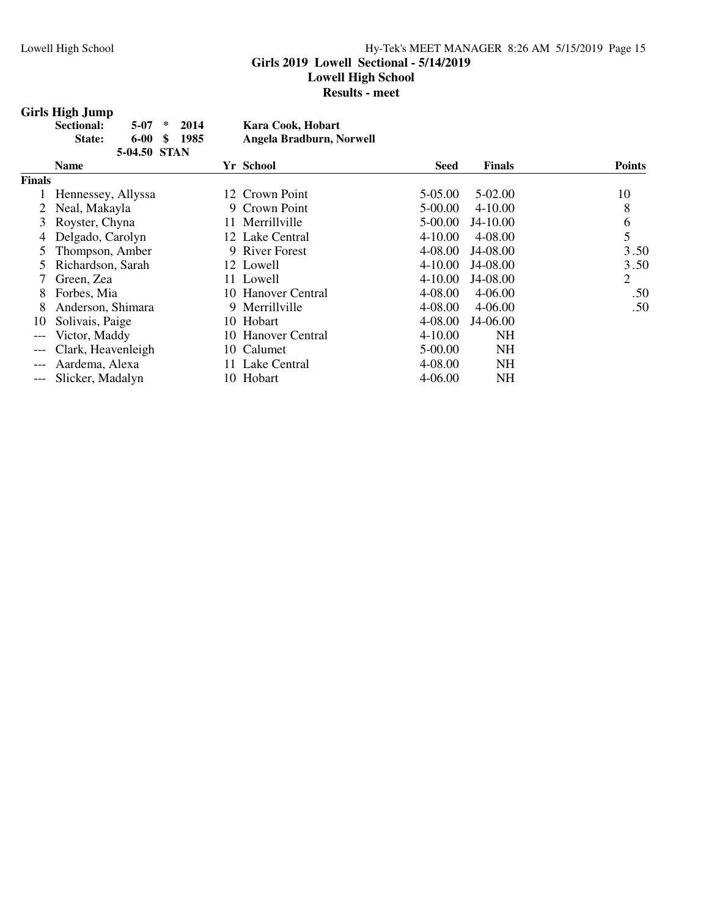## **Girls 2019 Lowell Sectional - 5/14/2019**

**Lowell High School**

**Results - meet**

#### **Girls High Jump**

| Sectional: |              | $5-07$ * 2014  | Kara Cook, Hobart        |
|------------|--------------|----------------|--------------------------|
| State:     |              | $6-00$ \$ 1985 | Angela Bradburn, Norwell |
|            | 5-04.50 STAN |                |                          |

|               | <b>Name</b>         | Yr School          | <b>Seed</b> | <b>Finals</b> | <b>Points</b> |
|---------------|---------------------|--------------------|-------------|---------------|---------------|
| <b>Finals</b> |                     |                    |             |               |               |
|               | Hennessey, Allyssa  | 12 Crown Point     | 5-05.00     | 5-02.00       | 10            |
|               | 2 Neal, Makayla     | 9 Crown Point      | 5-00.00     | $4 - 10.00$   | 8             |
|               | 3 Royster, Chyna    | 11 Merrillville    | 5-00.00     | J4-10.00      | 6             |
|               | 4 Delgado, Carolyn  | 12 Lake Central    | $4 - 10.00$ | 4-08.00       | 5             |
|               | Thompson, Amber     | 9 River Forest     | 4-08.00     | J4-08.00      | 3.50          |
|               | 5 Richardson, Sarah | 12 Lowell          | $4 - 10.00$ | J4-08.00      | 3.50          |
|               | Green, Zea          | 11 Lowell          | $4 - 10.00$ | J4-08.00      | 2             |
| 8             | Forbes, Mia         | 10 Hanover Central | 4-08.00     | 4-06.00       | .50           |
| 8             | Anderson, Shimara   | 9 Merrillville     | 4-08.00     | 4-06.00       | .50           |
| 10            | Solivais, Paige     | 10 Hobart          | 4-08.00     | J4-06.00      |               |
| $---$         | Victor, Maddy       | 10 Hanover Central | $4 - 10.00$ | <b>NH</b>     |               |
| $---$         | Clark, Heavenleigh  | 10 Calumet         | 5-00.00     | NH            |               |
| $---$         | Aardema, Alexa      | 11 Lake Central    | 4-08.00     | <b>NH</b>     |               |
| $---$         | Slicker, Madalyn    | 10 Hobart          | $4 - 06.00$ | NH            |               |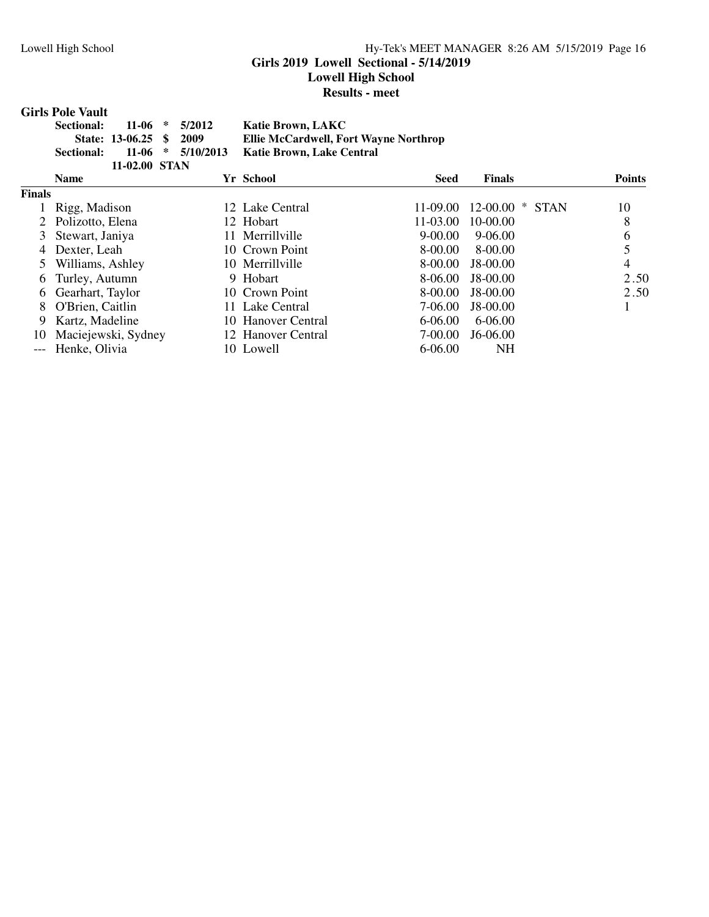#### Lowell High School Hy-Tek's MEET MANAGER 8:26 AM 5/15/2019 Page 16 **Girls 2019 Lowell Sectional - 5/14/2019 Lowell High School**

**Results - meet**

#### **Girls Pole Vault**

| Sectional: |                         | $11-06$ * $5/2012$    | <b>Katie Brown, LAKC</b>              |
|------------|-------------------------|-----------------------|---------------------------------------|
|            | State: 13-06.25 \$ 2009 |                       | Ellie McCardwell, Fort Wayne Northrop |
| Sectional: |                         | $11-06$ * $5/10/2013$ | Katie Brown, Lake Central             |
|            | 11-02.00 STAN           |                       |                                       |

|               | <b>Name</b>         | Yr School          | <b>Seed</b> | <b>Finals</b>     | <b>Points</b> |
|---------------|---------------------|--------------------|-------------|-------------------|---------------|
| <b>Finals</b> |                     |                    |             |                   |               |
|               | Rigg, Madison       | 12 Lake Central    | $11-09.00$  | $12-00.00$ * STAN | 10            |
|               | 2 Polizotto, Elena  | 12 Hobart          | 11-03.00    | 10-00.00          | 8             |
| 3             | Stewart, Janiya     | 11 Merrillville    | $9 - 00.00$ | 9-06.00           | 6             |
|               | 4 Dexter, Leah      | 10 Crown Point     | 8-00.00     | 8-00.00           |               |
|               | Williams, Ashley    | 10 Merrillyille    | 8-00.00     | $J8-00.00$        | 4             |
|               | 6 Turley, Autumn    | 9 Hobart           | 8-06.00     | J8-00.00          | 2.50          |
|               | 6 Gearhart, Taylor  | 10 Crown Point     | 8-00.00     | J8-00.00          | 2.50          |
| 8             | O'Brien, Caitlin    | 11 Lake Central    | 7-06.00     | $J8-00.00$        |               |
| 9             | Kartz, Madeline     | 10 Hanover Central | $6 - 06.00$ | 6-06.00           |               |
| 10            | Maciejewski, Sydney | 12 Hanover Central | 7-00.00     | $J6-06.00$        |               |
|               | --- Henke, Olivia   | 10 Lowell          | 6-06.00     | NΗ                |               |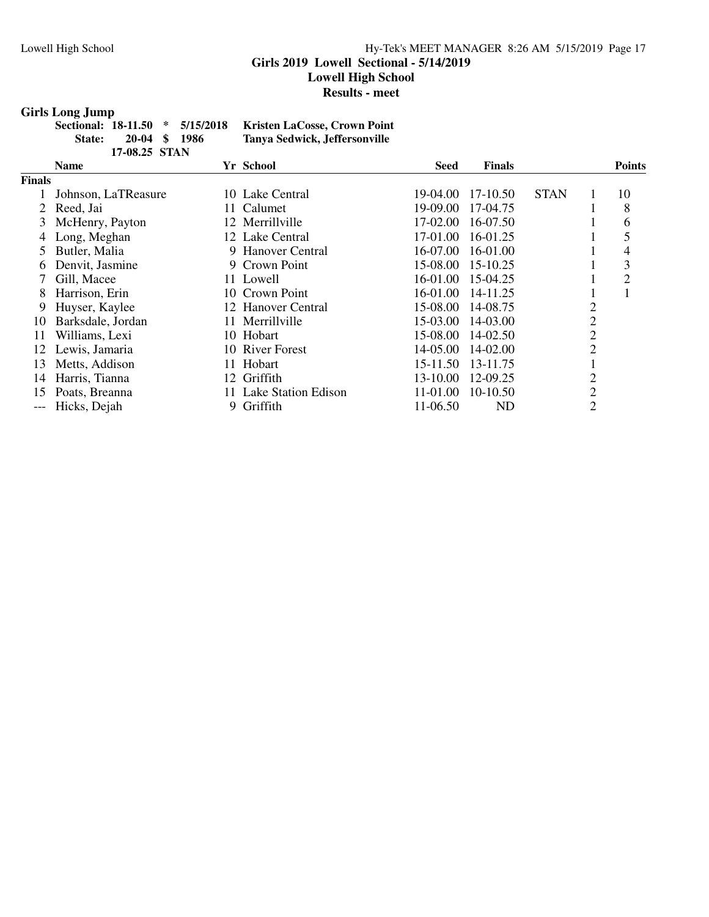#### Lowell High School Hy-Tek's MEET MANAGER 8:26 AM 5/15/2019 Page 17 **Girls 2019 Lowell Sectional - 5/14/2019 Lowell High School Results - meet**

#### **Girls Long Jump**

|        |               | Sectional: 18-11.50 * 5/15/2018 | Kristen LaCosse, Crown Point  |
|--------|---------------|---------------------------------|-------------------------------|
| State: | 20-04 \$ 1986 |                                 | Tanya Sedwick, Jeffersonville |
|        | 17-08.25 STAN |                                 |                               |

|               | $1170.40 \pm 0.1713$ |   |                        |              |               |             |                |               |
|---------------|----------------------|---|------------------------|--------------|---------------|-------------|----------------|---------------|
|               | <b>Name</b>          |   | Yr School              | <b>Seed</b>  | <b>Finals</b> |             |                | <b>Points</b> |
| <b>Finals</b> |                      |   |                        |              |               |             |                |               |
|               | Johnson, LaTReasure  |   | 10 Lake Central        | 19-04.00     | 17-10.50      | <b>STAN</b> |                | 10            |
|               | Reed, Jai            |   | 11 Calumet             | $19-09.00$   | 17-04.75      |             |                | 8             |
| 3             | McHenry, Payton      |   | 12 Merrillville        | 17-02.00     | 16-07.50      |             |                | 6             |
|               | Long, Meghan         |   | 12 Lake Central        | 17-01.00     | 16-01.25      |             |                | 5             |
|               | Butler, Malia        |   | 9 Hanover Central      | $16-07.00$   | $16-01.00$    |             |                | 4             |
| 6             | Denvit, Jasmine      |   | 9 Crown Point          | 15-08.00     | 15-10.25      |             |                | 3             |
|               | Gill, Macee          |   | 11 Lowell              | 16-01.00     | 15-04.25      |             |                | 2             |
| 8             | Harrison, Erin       |   | 10 Crown Point         | $16-01.00$   | 14-11.25      |             |                |               |
| 9             | Huyser, Kaylee       |   | 12 Hanover Central     | 15-08.00     | 14-08.75      |             | 2              |               |
| 10            | Barksdale, Jordan    |   | 11 Merrillville        | 15-03.00     | 14-03.00      |             | 2              |               |
| 11            | Williams, Lexi       |   | 10 Hobart              | 15-08.00     | $14 - 02.50$  |             | $\overline{2}$ |               |
| 12            | Lewis, Jamaria       |   | 10 River Forest        | 14-05.00     | $14 - 02.00$  |             | $\overline{2}$ |               |
| 13            | Metts, Addison       |   | 11 Hobart              | $15 - 11.50$ | 13-11.75      |             |                |               |
| 14            | Harris, Tianna       |   | 12 Griffith            | 13-10.00     | 12-09.25      |             | 2              |               |
| 15            | Poats, Breanna       |   | 11 Lake Station Edison | 11-01.00     | 10-10.50      |             | $\overline{2}$ |               |
|               | Hicks, Dejah         | 9 | Griffith               | 11-06.50     | ND            |             | $\overline{2}$ |               |
|               |                      |   |                        |              |               |             |                |               |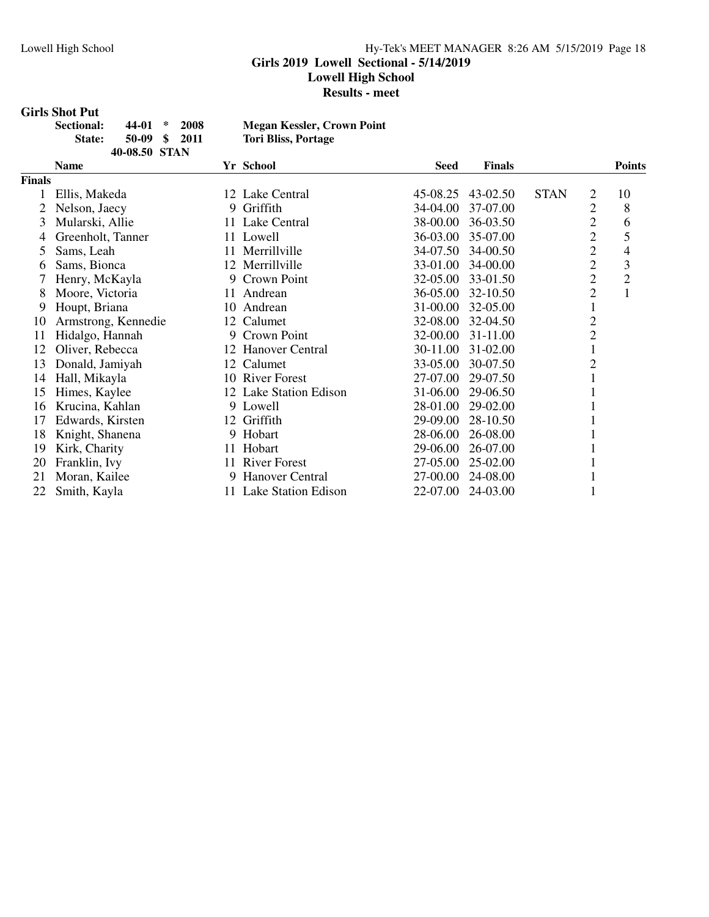#### Lowell High School Hy-Tek's MEET MANAGER 8:26 AM 5/15/2019 Page 18 **Girls 2019 Lowell Sectional - 5/14/2019 Lowell High School**

#### **Results - meet**

#### **Girls Shot Put**

| <b>Sectional:</b> | $44-01$ *     | 2008 | <b>Megan Kessler, Crown Point</b> |
|-------------------|---------------|------|-----------------------------------|
| <b>State:</b>     | 50-09 \$ 2011 |      | Tori Bliss, Portage               |
|                   | 40-08.50 STAN |      |                                   |

|        | <b>Name</b>         |    | Yr School              | <b>Seed</b> | <b>Finals</b> |             |                | <b>Points</b>  |
|--------|---------------------|----|------------------------|-------------|---------------|-------------|----------------|----------------|
| Finals |                     |    |                        |             |               |             |                |                |
|        | Ellis, Makeda       |    | 12 Lake Central        | 45-08.25    | 43-02.50      | <b>STAN</b> | 2              | 10             |
|        | Nelson, Jaecy       | 9. | Griffith               | 34-04.00    | 37-07.00      |             | $\overline{2}$ | 8              |
| 3      | Mularski, Allie     |    | 11 Lake Central        | 38-00.00    | 36-03.50      |             | $\overline{2}$ | 6              |
| 4      | Greenholt, Tanner   |    | 11 Lowell              | 36-03.00    | 35-07.00      |             | $\overline{2}$ | 5              |
| 5      | Sams, Leah          |    | 11 Merrillville        | 34-07.50    | 34-00.50      |             | $\overline{c}$ | 4              |
| 6      | Sams, Bionca        |    | 12 Merrillville        | 33-01.00    | 34-00.00      |             | $\overline{2}$ | 3              |
|        | Henry, McKayla      |    | 9 Crown Point          | 32-05.00    | 33-01.50      |             | $\overline{c}$ | $\overline{2}$ |
| 8      | Moore, Victoria     |    | 11 Andrean             | 36-05.00    | 32-10.50      |             | $\overline{2}$ | $\mathbf{1}$   |
| 9      | Houpt, Briana       |    | 10 Andrean             | 31-00.00    | 32-05.00      |             | 1              |                |
| 10     | Armstrong, Kennedie |    | 12 Calumet             | 32-08.00    | 32-04.50      |             | $\overline{c}$ |                |
| 11     | Hidalgo, Hannah     |    | 9 Crown Point          | 32-00.00    | 31-11.00      |             | $\overline{2}$ |                |
| 12     | Oliver, Rebecca     |    | 12 Hanover Central     | 30-11.00    | 31-02.00      |             |                |                |
| 13     | Donald, Jamiyah     |    | 12 Calumet             | 33-05.00    | 30-07.50      |             | $\mathbf{2}$   |                |
| 14     | Hall, Mikayla       |    | 10 River Forest        | 27-07.00    | 29-07.50      |             |                |                |
| 15     | Himes, Kaylee       |    | 12 Lake Station Edison | 31-06.00    | 29-06.50      |             |                |                |
| 16     | Krucina, Kahlan     |    | 9 Lowell               | 28-01.00    | 29-02.00      |             |                |                |
| 17     | Edwards, Kirsten    |    | 12 Griffith            | 29-09.00    | 28-10.50      |             |                |                |
| 18     | Knight, Shanena     |    | 9 Hobart               | 28-06.00    | 26-08.00      |             |                |                |
| 19     | Kirk, Charity       |    | 11 Hobart              | 29-06.00    | 26-07.00      |             |                |                |
| 20     | Franklin, Ivy       |    | 11 River Forest        | 27-05.00    | 25-02.00      |             |                |                |
| 21     | Moran, Kailee       | 9. | Hanover Central        | 27-00.00    | 24-08.00      |             |                |                |
| 22     | Smith, Kayla        |    | 11 Lake Station Edison | 22-07.00    | 24-03.00      |             |                |                |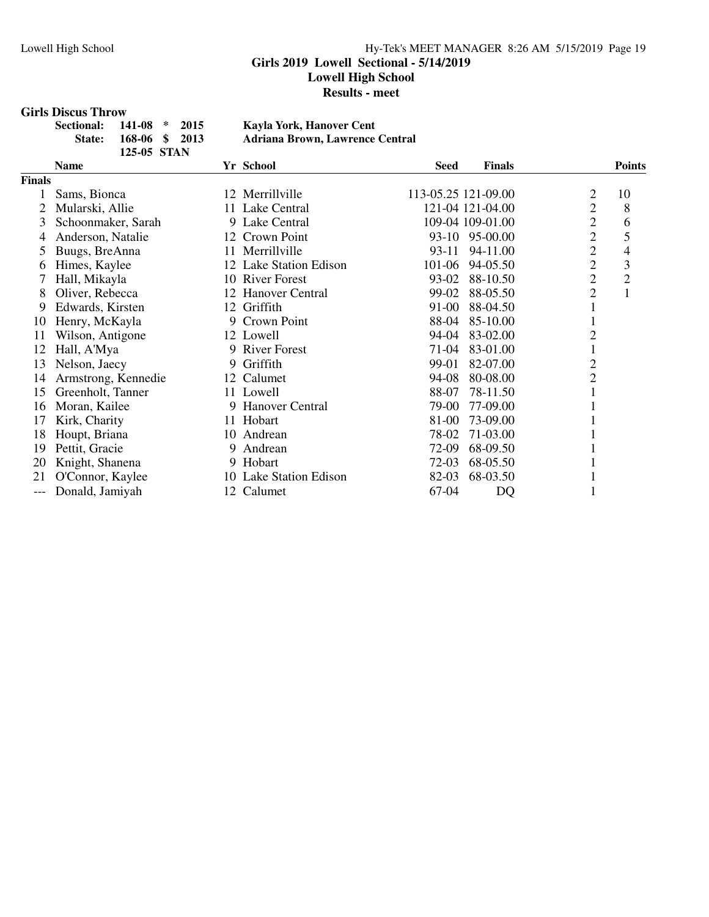#### Lowell High School Hy-Tek's MEET MANAGER 8:26 AM 5/15/2019 Page 19 **Girls 2019 Lowell Sectional - 5/14/2019 Lowell High School Results - meet**

#### **Girls Discus Throw**

| Sectional: 141-08 * 2015 | Kayla York, Hanover Cent               |
|--------------------------|----------------------------------------|
| State: 168-06 \$ 2013    | <b>Adriana Brown, Lawrence Central</b> |
| 125-05 STAN              |                                        |

|        | <b>Name</b>         |    | Yr School              | <b>Seed</b>         | <b>Finals</b> |                | <b>Points</b>  |
|--------|---------------------|----|------------------------|---------------------|---------------|----------------|----------------|
| Finals |                     |    |                        |                     |               |                |                |
|        | Sams, Bionca        |    | 12 Merrillville        | 113-05.25 121-09.00 |               | 2              | 10             |
| 2      | Mularski, Allie     |    | 11 Lake Central        | 121-04 121-04.00    |               | $\overline{2}$ | 8              |
| 3      | Schoonmaker, Sarah  |    | 9 Lake Central         | 109-04 109-01.00    |               | $\overline{c}$ | 6              |
| 4      | Anderson, Natalie   |    | 12 Crown Point         | 93-10 95-00.00      |               | $\overline{2}$ | 5              |
| 5      | Buugs, BreAnna      |    | 11 Merrillville        | 93-11               | 94-11.00      | $\overline{2}$ | $\overline{4}$ |
| 6      | Himes, Kaylee       |    | 12 Lake Station Edison | 101-06              | 94-05.50      | $\overline{c}$ | 3              |
| 7      | Hall, Mikayla       |    | 10 River Forest        | 93-02               | 88-10.50      | $\overline{2}$ | $\overline{2}$ |
| 8      | Oliver, Rebecca     |    | 12 Hanover Central     | 99-02               | 88-05.50      | $\overline{2}$ | $\mathbf{1}$   |
| 9      | Edwards, Kirsten    |    | 12 Griffith            | 91-00               | 88-04.50      |                |                |
| 10     | Henry, McKayla      | 9. | Crown Point            | 88-04               | 85-10.00      |                |                |
| 11     | Wilson, Antigone    |    | 12 Lowell              | 94-04               | 83-02.00      | $\overline{2}$ |                |
| 12     | Hall, A'Mya         | 9  | <b>River Forest</b>    | $71-04$             | 83-01.00      |                |                |
| 13     | Nelson, Jaecy       | 9. | Griffith               | 99-01               | 82-07.00      | $\overline{2}$ |                |
| 14     | Armstrong, Kennedie |    | 12 Calumet             | 94-08               | 80-08.00      | $\overline{2}$ |                |
| 15     | Greenholt, Tanner   |    | 11 Lowell              | 88-07               | 78-11.50      |                |                |
| 16     | Moran, Kailee       | 9. | <b>Hanover Central</b> | 79-00               | 77-09.00      |                |                |
| 17     | Kirk, Charity       |    | 11 Hobart              | 81-00               | 73-09.00      |                |                |
| 18     | Houpt, Briana       | 10 | Andrean                | 78-02               | 71-03.00      |                |                |
| 19     | Pettit, Gracie      | 9  | Andrean                | 72-09               | 68-09.50      |                |                |
| 20     | Knight, Shanena     |    | 9 Hobart               | 72-03               | 68-05.50      |                |                |
| 21     | O'Connor, Kaylee    |    | 10 Lake Station Edison | 82-03               | 68-03.50      |                |                |
|        | Donald, Jamiyah     |    | 12 Calumet             | 67-04               | DQ            |                |                |